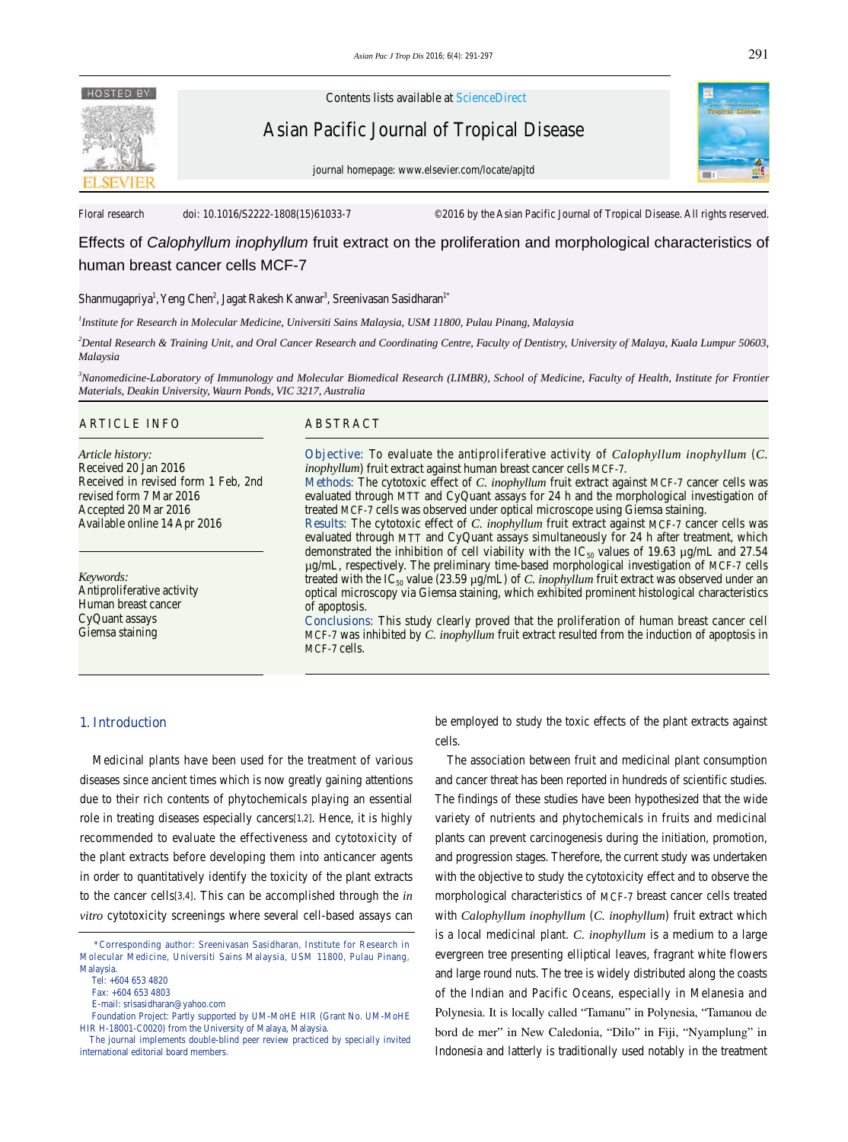

Contents lists available at ScienceDirect

Asian Pacific Journal of Tropical Disease





Floral research doi: 10.1016/S2222-1808(15)61033-7 ©2016 by the Asian Pacific Journal of Tropical Disease. All rights reserved.

# Effects of *Calophyllum inophyllum* fruit extract on the proliferation and morphological characteristics of human breast cancer cells MCF-7

### Shanmugapriya<sup>1</sup>, Yeng Chen<sup>2</sup>, Jagat Rakesh Kanwar<sup>3</sup>, Sreenivasan Sasidharan<sup>1\*</sup>

*1 Institute for Research in Molecular Medicine, Universiti Sains Malaysia, USM 11800, Pulau Pinang, Malaysia*

*2 Dental Research & Training Unit, and Oral Cancer Research and Coordinating Centre, Faculty of Dentistry, University of Malaya, Kuala Lumpur 50603, Malaysia*

*3 Nanomedicine-Laboratory of Immunology and Molecular Biomedical Research (LIMBR), School of Medicine, Faculty of Health, Institute for Frontier Materials, Deakin University, Waurn Ponds, VIC 3217, Australia*

#### ARTICLE INFO ABSTRACT

*Article history:* Received 20 Jan 2016 Received in revised form 1 Feb, 2nd revised form 7 Mar 2016 Accepted 20 Mar 2016 Available online 14 Apr 2016

*Keywords:* Antiproliferative activity Human breast cancer CyQuant assays Giemsa staining

**Objective:** To evaluate the antiproliferative activity of *Calophyllum inophyllum* (*C. inophyllum*) fruit extract against human breast cancer cells MCF-7.

**Methods:** The cytotoxic effect of *C. inophyllum* fruit extract against MCF-7 cancer cells was evaluated through MTT and CyQuant assays for 24 h and the morphological investigation of treated MCF-7 cells was observed under optical microscope using Giemsa staining.

**Results:** The cytotoxic effect of *C. inophyllum* fruit extract against MCF-7 cancer cells was evaluated through MTT and CyQuant assays simultaneously for 24 h after treatment, which demonstrated the inhibition of cell viability with the IC<sub>50</sub> values of 19.63  $\mu$ g/mL and 27.54 µg/mL, respectively. The preliminary time-based morphological investigation of MCF-7 cells treated with the IC<sub>50</sub> value (23.59  $\mu$ g/mL) of *C. inophyllum* fruit extract was observed under an optical microscopy via Giemsa staining, which exhibited prominent histological characteristics of apoptosis.

**Conclusions:** This study clearly proved that the proliferation of human breast cancer cell MCF-7 was inhibited by *C. inophyllum* fruit extract resulted from the induction of apoptosis in MCF-7 cells.

### **1. Introduction**

 Medicinal plants have been used for the treatment of various diseases since ancient times which is now greatly gaining attentions due to their rich contents of phytochemicals playing an essential role in treating diseases especially cancers[1,2]. Hence, it is highly recommended to evaluate the effectiveness and cytotoxicity of the plant extracts before developing them into anticancer agents in order to quantitatively identify the toxicity of the plant extracts to the cancer cells[3,4]. This can be accomplished through the *in vitro* cytotoxicity screenings where several cell-based assays can

be employed to study the toxic effects of the plant extracts against cells.

 The association between fruit and medicinal plant consumption and cancer threat has been reported in hundreds of scientific studies. The findings of these studies have been hypothesized that the wide variety of nutrients and phytochemicals in fruits and medicinal plants can prevent carcinogenesis during the initiation, promotion, and progression stages. Therefore, the current study was undertaken with the objective to study the cytotoxicity effect and to observe the morphological characteristics of MCF-7 breast cancer cells treated with *Calophyllum inophyllum* (*C. inophyllum*) fruit extract which is a local medicinal plant. *C. inophyllum* is a medium to a large evergreen tree presenting elliptical leaves, fragrant white flowers and large round nuts. The tree is widely distributed along the coasts of the Indian and Pacific Oceans, especially in Melanesia and Polynesia. It is locally called "Tamanu" in Polynesia, "Tamanou de bord de mer" in New Caledonia, "Dilo" in Fiji, "Nyamplung" in Indonesia and latterly is traditionally used notably in the treatment

 <sup>\*</sup>Corresponding author: Sreenivasan Sasidharan, Institute for Research in Molecular Medicine, Universiti Sains Malaysia, USM 11800, Pulau Pinang, Malaysia.

Tel: +604 653 4820

Fax: +604 653 4803

E-mail: srisasidharan@yahoo.com

Foundation Project: Partly supported by UM-MoHE HIR (Grant No. UM-MoHE HIR H-18001-C0020) from the University of Malaya, Malaysia.

The journal implements double-blind peer review practiced by specially invited international editorial board members.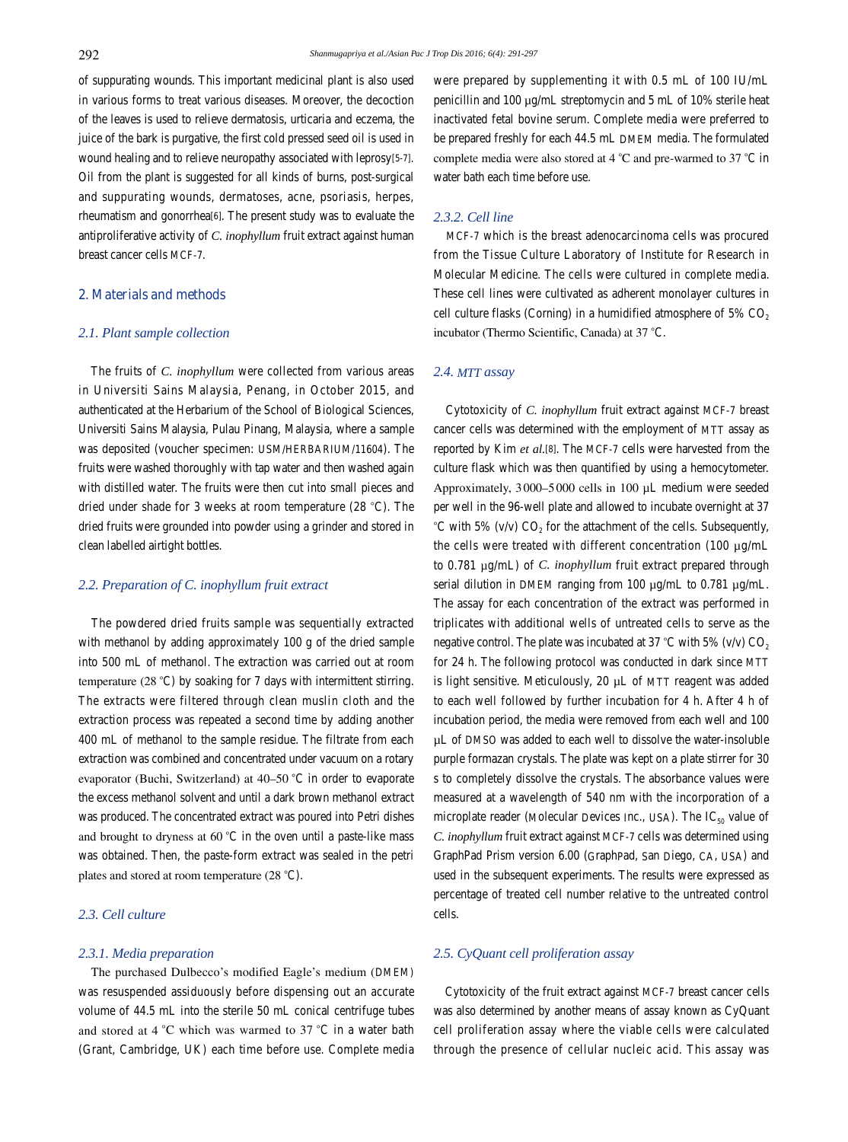of suppurating wounds. This important medicinal plant is also used in various forms to treat various diseases. Moreover, the decoction of the leaves is used to relieve dermatosis, urticaria and eczema, the juice of the bark is purgative, the first cold pressed seed oil is used in wound healing and to relieve neuropathy associated with leprosy[5-7]. Oil from the plant is suggested for all kinds of burns, post-surgical and suppurating wounds, dermatoses, acne, psoriasis, herpes, rheumatism and gonorrhea[6]. The present study was to evaluate the antiproliferative activity of *C. inophyllum* fruit extract against human breast cancer cells MCF-7.

# **2. Materials and methods**

### *2.1. Plant sample collection*

 The fruits of *C. inophyllum* were collected from various areas in Universiti Sains Malaysia, Penang, in October 2015, and authenticated at the Herbarium of the School of Biological Sciences, Universiti Sains Malaysia, Pulau Pinang, Malaysia, where a sample was deposited (voucher specimen: USM/HERBARIUM/11604). The fruits were washed thoroughly with tap water and then washed again with distilled water. The fruits were then cut into small pieces and dried under shade for 3 weeks at room temperature (28 °C). The dried fruits were grounded into powder using a grinder and stored in clean labelled airtight bottles.

### *2.2. Preparation of C. inophyllum fruit extract*

 The powdered dried fruits sample was sequentially extracted with methanol by adding approximately 100 g of the dried sample into 500 mL of methanol. The extraction was carried out at room temperature (28°°C) by soaking for 7 days with intermittent stirring. The extracts were filtered through clean muslin cloth and the extraction process was repeated a second time by adding another 400 mL of methanol to the sample residue. The filtrate from each extraction was combined and concentrated under vacuum on a rotary evaporator (Buchi, Switzerland) at 40–50°°C in order to evaporate the excess methanol solvent and until a dark brown methanol extract was produced. The concentrated extract was poured into Petri dishes and brought to dryness at  $60^{\circ}$ C in the oven until a paste-like mass was obtained. Then, the paste-form extract was sealed in the petri plates and stored at room temperature (28°°C).

# *2.3. Cell culture*

### *2.3.1. Media preparation*

 The purchased Dulbecco's modified Eagle's medium (DMEM) was resuspended assiduously before dispensing out an accurate volume of 44.5 mL into the sterile 50 mL conical centrifuge tubes and stored at 4°°C which was warmed to 37°°C in a water bath (Grant, Cambridge, UK) each time before use. Complete media

were prepared by supplementing it with 0.5 mL of 100 IU/mL penicillin and 100 µg/mL streptomycin and 5 mL of 10% sterile heat inactivated fetal bovine serum. Complete media were preferred to be prepared freshly for each 44.5 mL DMEM media. The formulated complete media were also stored at 4°°C and pre-warmed to 37°°C in water bath each time before use.

### *2.3.2. Cell line*

 MCF-7 which is the breast adenocarcinoma cells was procured from the Tissue Culture Laboratory of Institute for Research in Molecular Medicine. The cells were cultured in complete media. These cell lines were cultivated as adherent monolayer cultures in cell culture flasks (Corning) in a humidified atmosphere of 5%  $CO<sub>2</sub>$ incubator (Thermo Scientific, Canada) at 37°°C.

# *2.4. MTT assay*

 Cytotoxicity of *C. inophyllum* fruit extract against MCF-7 breast cancer cells was determined with the employment of MTT assay as reported by Kim *et al.*[8]. The MCF-7 cells were harvested from the culture flask which was then quantified by using a hemocytometer. Approximately, 3000–5000 cells in 100 µL medium were seeded per well in the 96-well plate and allowed to incubate overnight at 37 °C with 5% (v/v)  $CO<sub>2</sub>$  for the attachment of the cells. Subsequently, the cells were treated with different concentration (100 µg/mL to 0.781 µg/mL) of *C. inophyllum* fruit extract prepared through serial dilution in DMEM ranging from 100  $\mu$ g/mL to 0.781  $\mu$ g/mL. The assay for each concentration of the extract was performed in triplicates with additional wells of untreated cells to serve as the negative control. The plate was incubated at 37 °C with 5% (v/v)  $CO<sub>2</sub>$ for 24 h. The following protocol was conducted in dark since MTT is light sensitive. Meticulously, 20 µL of MTT reagent was added to each well followed by further incubation for 4 h. After 4 h of incubation period, the media were removed from each well and 100 µL of DMSO was added to each well to dissolve the water-insoluble purple formazan crystals. The plate was kept on a plate stirrer for 30 s to completely dissolve the crystals. The absorbance values were measured at a wavelength of 540 nm with the incorporation of a microplate reader (Molecular Devices Inc., USA). The  $IC_{50}$  value of *C. inophyllum* fruit extract against MCF-7 cells was determined using GraphPad Prism version 6.00 (GraphPad, San Diego, CA, USA) and used in the subsequent experiments. The results were expressed as percentage of treated cell number relative to the untreated control cells.

### *2.5. CyQuant cell proliferation assay*

 Cytotoxicity of the fruit extract against MCF-7 breast cancer cells was also determined by another means of assay known as CyQuant cell proliferation assay where the viable cells were calculated through the presence of cellular nucleic acid. This assay was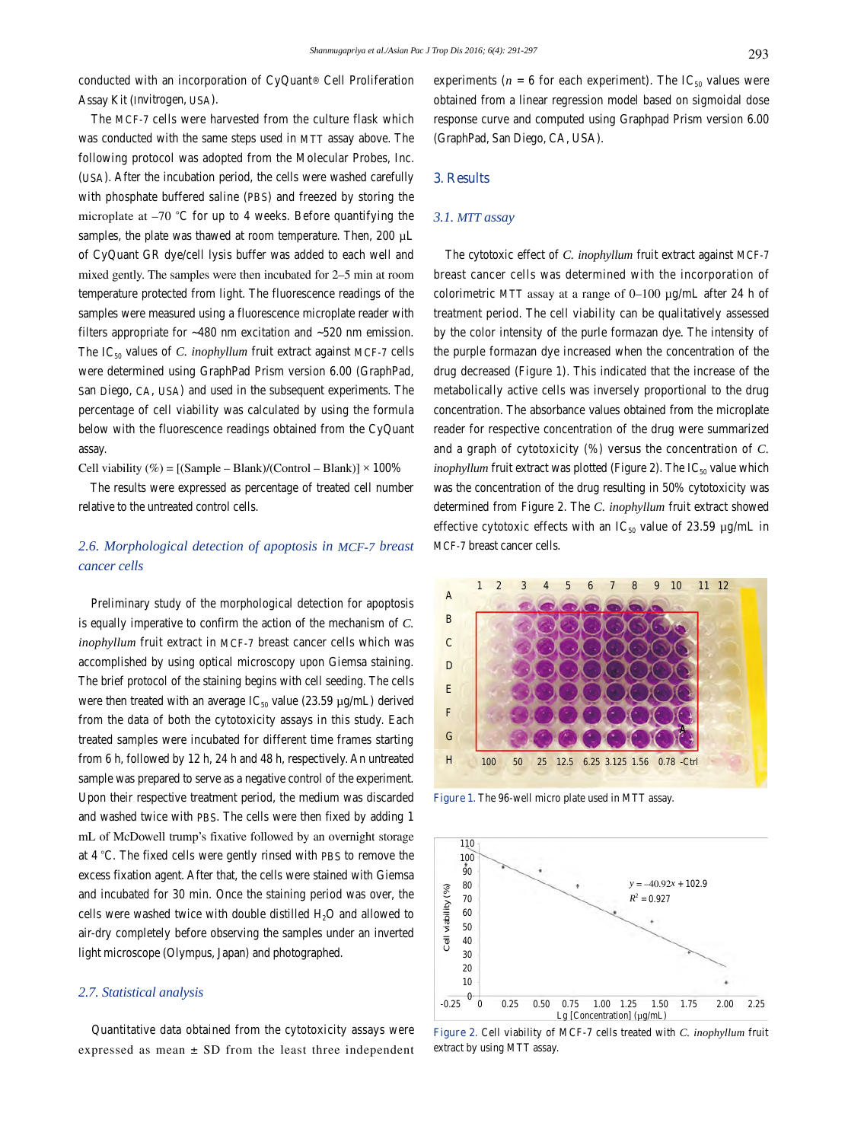conducted with an incorporation of CyQuant® Cell Proliferation Assay Kit (Invitrogen, USA).

 The MCF-7 cells were harvested from the culture flask which was conducted with the same steps used in MTT assay above. The following protocol was adopted from the Molecular Probes, Inc. (USA). After the incubation period, the cells were washed carefully with phosphate buffered saline (PBS) and freezed by storing the microplate at  $-70$  °C for up to 4 weeks. Before quantifying the samples, the plate was thawed at room temperature. Then, 200 µL of CyQuant GR dye/cell lysis buffer was added to each well and mixed gently. The samples were then incubated for 2–5 min at room temperature protected from light. The fluorescence readings of the samples were measured using a fluorescence microplate reader with filters appropriate for ~480 nm excitation and ~520 nm emission. The  $IC_{50}$  values of *C. inophyllum* fruit extract against MCF-7 cells were determined using GraphPad Prism version 6.00 (GraphPad, San Diego, CA, USA) and used in the subsequent experiments. The percentage of cell viability was calculated by using the formula below with the fluorescence readings obtained from the CyQuant assay.

Cell viability  $(\%) = [(\text{Sample} - \text{blank})/(\text{Control} - \text{blank})] \times 100\%$ 

 The results were expressed as percentage of treated cell number relative to the untreated control cells.

# *2.6. Morphological detection of apoptosis in MCF-7 breast cancer cells*

 Preliminary study of the morphological detection for apoptosis is equally imperative to confirm the action of the mechanism of *C. inophyllum* fruit extract in MCF-7 breast cancer cells which was accomplished by using optical microscopy upon Giemsa staining. The brief protocol of the staining begins with cell seeding. The cells were then treated with an average  $IC_{50}$  value (23.59  $\mu$ g/mL) derived from the data of both the cytotoxicity assays in this study. Each treated samples were incubated for different time frames starting from 6 h, followed by 12 h, 24 h and 48 h, respectively. An untreated sample was prepared to serve as a negative control of the experiment. Upon their respective treatment period, the medium was discarded and washed twice with PBS. The cells were then fixed by adding 1 mL of McDowell trump's fixative followed by an overnight storage at 4 °C. The fixed cells were gently rinsed with PBS to remove the excess fixation agent. After that, the cells were stained with Giemsa and incubated for 30 min. Once the staining period was over, the cells were washed twice with double distilled H<sub>2</sub>O and allowed to air-dry completely before observing the samples under an inverted light microscope (Olympus, Japan) and photographed.

### *2.7. Statistical analysis*

 Quantitative data obtained from the cytotoxicity assays were expressed as mean  $\pm$  SD from the least three independent experiments ( $n = 6$  for each experiment). The IC<sub>50</sub> values were obtained from a linear regression model based on sigmoidal dose response curve and computed using Graphpad Prism version 6.00 (GraphPad, San Diego, CA, USA).

# **3. Results**

# *3.1. MTT assay*

 The cytotoxic effect of *C. inophyllum* fruit extract against MCF-7 breast cancer cells was determined with the incorporation of colorimetric MTT assay at a range of 0–100 µg/mL after 24 h of treatment period. The cell viability can be qualitatively assessed by the color intensity of the purle formazan dye. The intensity of the purple formazan dye increased when the concentration of the drug decreased (Figure 1). This indicated that the increase of the metabolically active cells was inversely proportional to the drug concentration. The absorbance values obtained from the microplate reader for respective concentration of the drug were summarized and a graph of cytotoxicity (%) versus the concentration of *C. inophyllum* fruit extract was plotted (Figure 2). The  $IC_{50}$  value which was the concentration of the drug resulting in 50% cytotoxicity was determined from Figure 2. The *C. inophyllum* fruit extract showed effective cytotoxic effects with an  $IC_{50}$  value of 23.59  $\mu$ g/mL in MCF-7 breast cancer cells.



**Figure 1.** The 96-well micro plate used in MTT assay.



**Figure 2.** Cell viability of MCF-7 cells treated with *C. inophyllum* fruit extract by using MTT assay.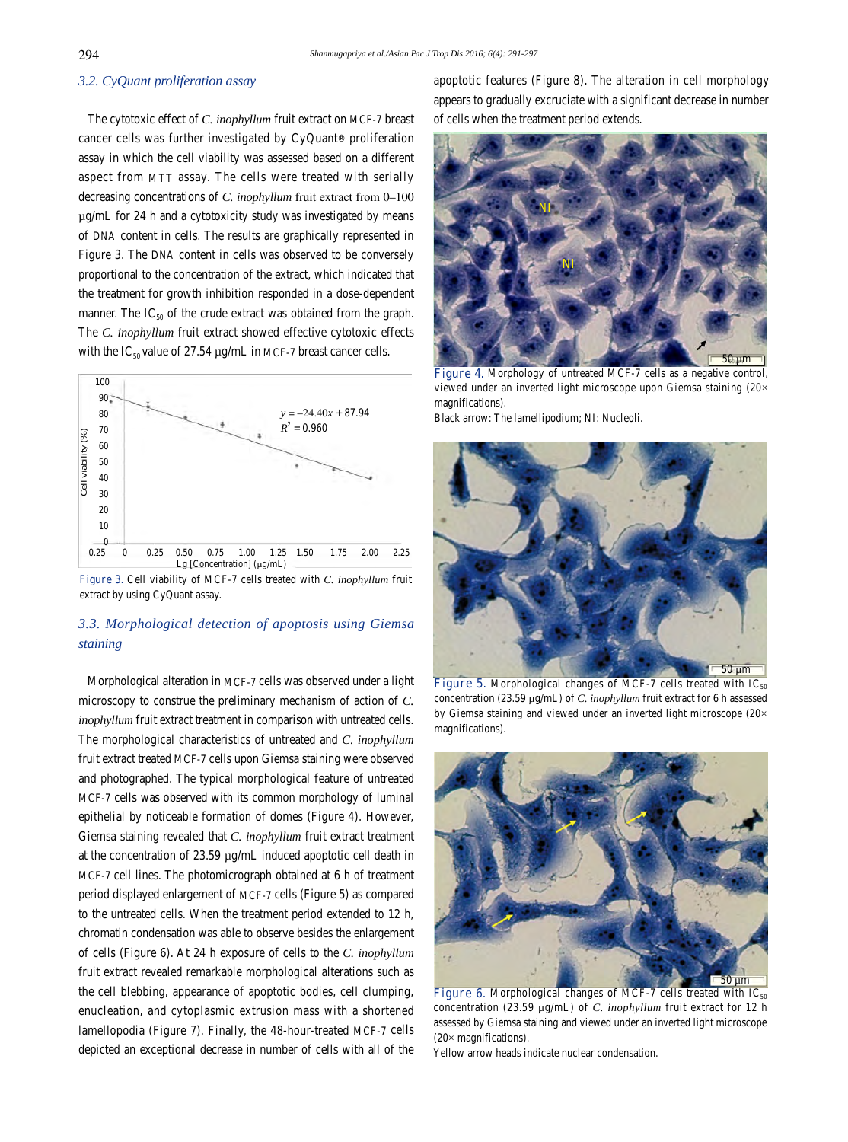### *3.2. CyQuant proliferation assay*

 The cytotoxic effect of *C. inophyllum* fruit extract on MCF-7 breast cancer cells was further investigated by CyQuant® proliferation assay in which the cell viability was assessed based on a different aspect from MTT assay. The cells were treated with serially decreasing concentrations of *C. inophyllum* fruit extract from 0–100 µg/mL for 24 h and a cytotoxicity study was investigated by means of DNA content in cells. The results are graphically represented in Figure 3. The DNA content in cells was observed to be conversely proportional to the concentration of the extract, which indicated that the treatment for growth inhibition responded in a dose-dependent manner. The  $IC_{50}$  of the crude extract was obtained from the graph. The *C. inophyllum* fruit extract showed effective cytotoxic effects with the  $IC_{50}$  value of 27.54  $\mu$ g/mL in MCF-7 breast cancer cells.



**Figure 3.** Cell viability of MCF-7 cells treated with *C. inophyllum* fruit extract by using CyQuant assay.

# *3.3. Morphological detection of apoptosis using Giemsa staining*

 Morphological alteration in MCF-7 cells was observed under a light microscopy to construe the preliminary mechanism of action of *C. inophyllum* fruit extract treatment in comparison with untreated cells. The morphological characteristics of untreated and *C. inophyllum*  fruit extract treated MCF-7 cells upon Giemsa staining were observed and photographed. The typical morphological feature of untreated MCF-7 cells was observed with its common morphology of luminal epithelial by noticeable formation of domes (Figure 4). However, Giemsa staining revealed that *C. inophyllum* fruit extract treatment at the concentration of 23.59 µg/mL induced apoptotic cell death in MCF-7 cell lines. The photomicrograph obtained at 6 h of treatment period displayed enlargement of MCF-7 cells (Figure 5) as compared to the untreated cells. When the treatment period extended to 12 h, chromatin condensation was able to observe besides the enlargement of cells (Figure 6). At 24 h exposure of cells to the *C. inophyllum*  fruit extract revealed remarkable morphological alterations such as the cell blebbing, appearance of apoptotic bodies, cell clumping, enucleation, and cytoplasmic extrusion mass with a shortened lamellopodia (Figure 7). Finally, the 48-hour-treated MCF-7 cells depicted an exceptional decrease in number of cells with all of the apoptotic features (Figure 8). The alteration in cell morphology appears to gradually excruciate with a significant decrease in number of cells when the treatment period extends.



**Figure 4.** Morphology of untreated MCF-7 cells as a negative control, viewed under an inverted light microscope upon Giemsa staining (20× magnifications).

Black arrow: The lamellipodium; NI: Nucleoli.



**Figure 5.** Morphological changes of MCF-7 cells treated with  $IC_{50}$ concentration (23.59 µg/mL) of *C. inophyllum* fruit extract for 6 h assessed by Giemsa staining and viewed under an inverted light microscope (20× magnifications).



**Figure 6.** Morphological changes of MCF-7 cells treated with  $IC_{50}$ concentration (23.59 µg/mL) of *C. inophyllum* fruit extract for 12 h assessed by Giemsa staining and viewed under an inverted light microscope (20× magnifications).

Yellow arrow heads indicate nuclear condensation.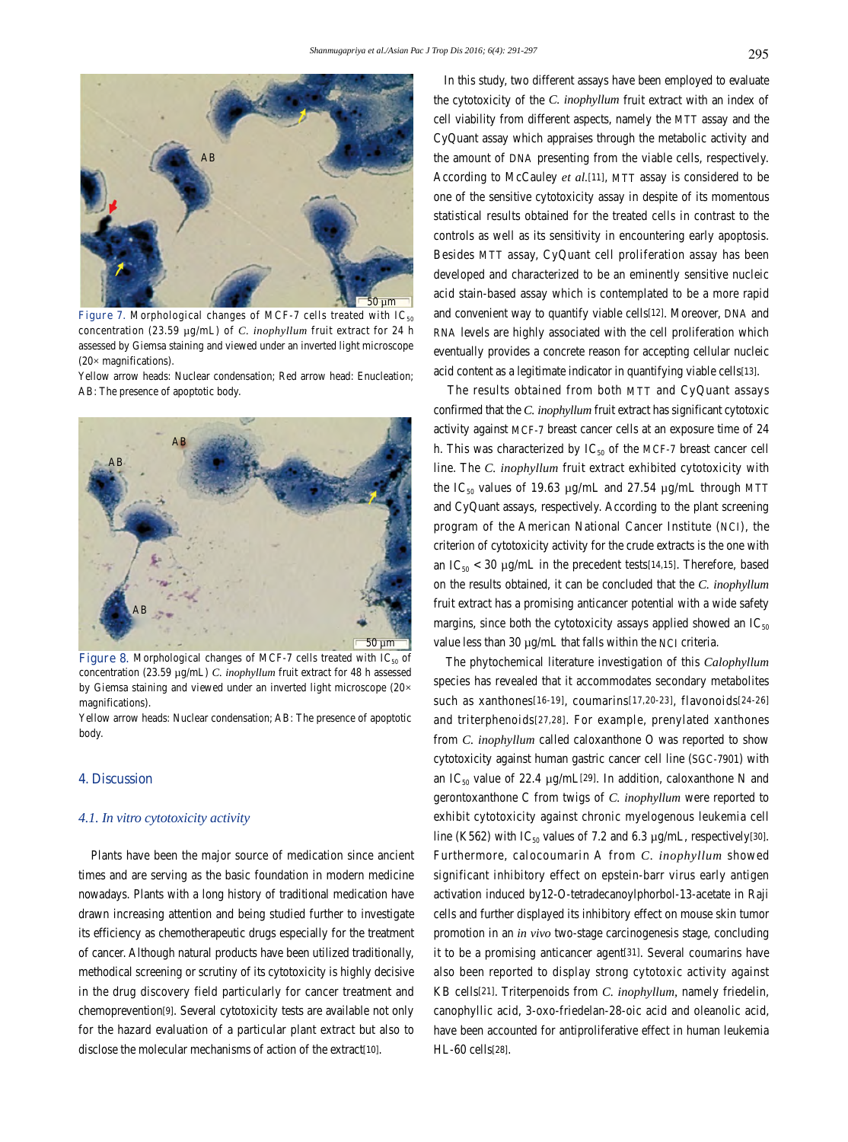

**Figure 7.** Morphological changes of MCF-7 cells treated with  $IC_{50}$ concentration (23.59 µg/mL) of *C. inophyllum* fruit extract for 24 h assessed by Giemsa staining and viewed under an inverted light microscope  $(20 \times$  magnifications).

Yellow arrow heads: Nuclear condensation; Red arrow head: Enucleation; AB: The presence of apoptotic body.



**Figure 8.** Morphological changes of MCF-7 cells treated with  $IC_{50}$  of concentration (23.59 µg/mL) *C. inophyllum* fruit extract for 48 h assessed by Giemsa staining and viewed under an inverted light microscope (20× magnifications).

Yellow arrow heads: Nuclear condensation; AB: The presence of apoptotic body.

### **4. Discussion**

### *4.1. In vitro cytotoxicity activity*

 Plants have been the major source of medication since ancient times and are serving as the basic foundation in modern medicine nowadays. Plants with a long history of traditional medication have drawn increasing attention and being studied further to investigate its efficiency as chemotherapeutic drugs especially for the treatment of cancer. Although natural products have been utilized traditionally, methodical screening or scrutiny of its cytotoxicity is highly decisive in the drug discovery field particularly for cancer treatment and chemoprevention[9]. Several cytotoxicity tests are available not only for the hazard evaluation of a particular plant extract but also to disclose the molecular mechanisms of action of the extract[10].

 In this study, two different assays have been employed to evaluate the cytotoxicity of the *C. inophyllum* fruit extract with an index of cell viability from different aspects, namely the MTT assay and the CyQuant assay which appraises through the metabolic activity and the amount of DNA presenting from the viable cells, respectively. According to McCauley *et al.*[11], MTT assay is considered to be one of the sensitive cytotoxicity assay in despite of its momentous statistical results obtained for the treated cells in contrast to the controls as well as its sensitivity in encountering early apoptosis. Besides MTT assay, CyQuant cell proliferation assay has been developed and characterized to be an eminently sensitive nucleic acid stain-based assay which is contemplated to be a more rapid and convenient way to quantify viable cells[12]. Moreover, DNA and RNA levels are highly associated with the cell proliferation which eventually provides a concrete reason for accepting cellular nucleic acid content as a legitimate indicator in quantifying viable cells[13].

 The results obtained from both MTT and CyQuant assays confirmed that the *C. inophyllum* fruit extract has significant cytotoxic activity against MCF-7 breast cancer cells at an exposure time of 24 h. This was characterized by  $IC_{50}$  of the MCF-7 breast cancer cell line. The *C. inophyllum* fruit extract exhibited cytotoxicity with the IC<sub>50</sub> values of 19.63  $\mu$ g/mL and 27.54  $\mu$ g/mL through MTT and CyQuant assays, respectively. According to the plant screening program of the American National Cancer Institute (NCI), the criterion of cytotoxicity activity for the crude extracts is the one with an IC<sub>50</sub> < 30 µg/mL in the precedent tests[14,15]. Therefore, based on the results obtained, it can be concluded that the *C. inophyllum* fruit extract has a promising anticancer potential with a wide safety margins, since both the cytotoxicity assays applied showed an  $IC_{50}$ value less than 30  $\mu$ g/mL that falls within the NCI criteria.

 The phytochemical literature investigation of this *Calophyllum*  species has revealed that it accommodates secondary metabolites such as xanthones[16-19], coumarins[17,20-23], flavonoids[24-26] and triterphenoids[27,28]. For example, prenylated xanthones from *C. inophyllum* called caloxanthone O was reported to show cytotoxicity against human gastric cancer cell line (SGC-7901) with an IC<sub>50</sub> value of 22.4  $\mu$ g/mL[29]. In addition, caloxanthone N and gerontoxanthone C from twigs of *C. inophyllum* were reported to exhibit cytotoxicity against chronic myelogenous leukemia cell line (K562) with IC<sub>50</sub> values of 7.2 and 6.3  $\mu$ g/mL, respectively[30]. Furthermore, calocoumarin A from *C. inophyllum* showed significant inhibitory effect on epstein-barr virus early antigen activation induced by12-O-tetradecanoylphorbol-13-acetate in Raji cells and further displayed its inhibitory effect on mouse skin tumor promotion in an *in vivo* two-stage carcinogenesis stage, concluding it to be a promising anticancer agent[31]. Several coumarins have also been reported to display strong cytotoxic activity against KB cells[21]. Triterpenoids from *C. inophyllum,* namely friedelin, canophyllic acid, 3-oxo-friedelan-28-oic acid and oleanolic acid, have been accounted for antiproliferative effect in human leukemia HL-60 cells[28].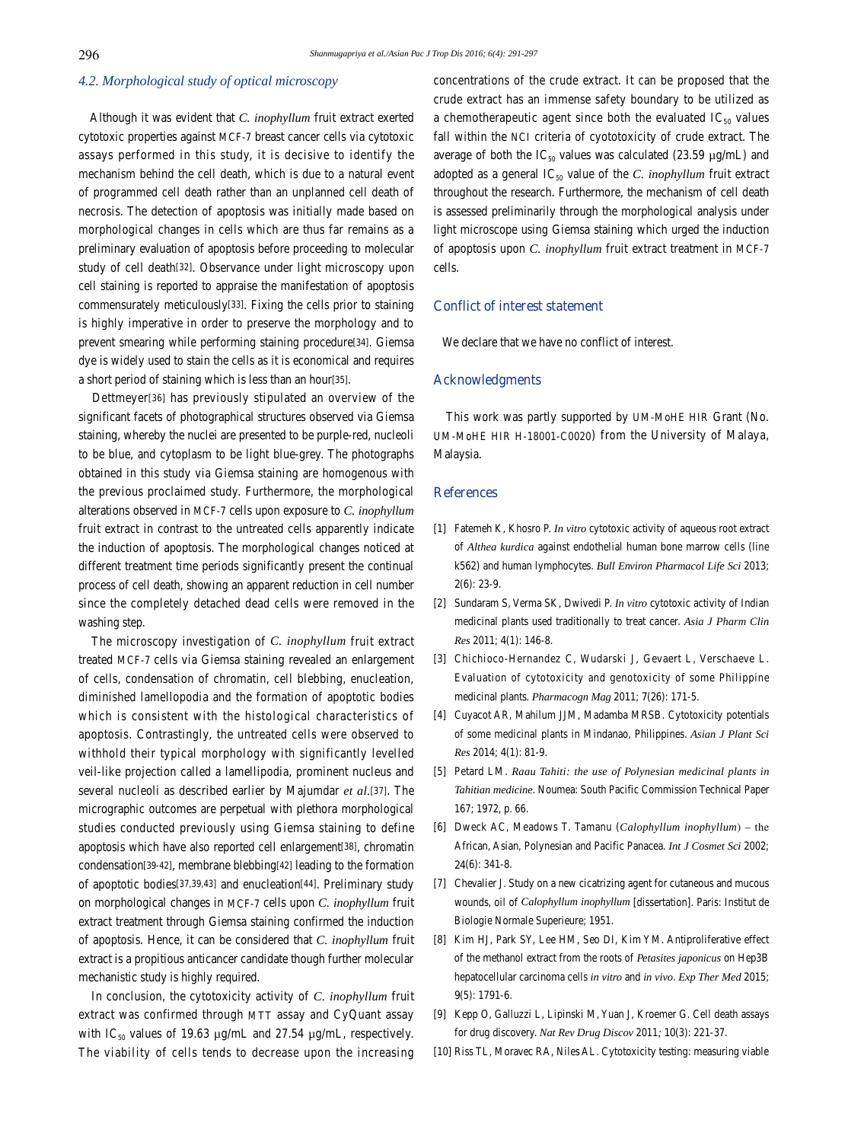### *4.2. Morphological study of optical microscopy*

 Although it was evident that *C. inophyllum* fruit extract exerted cytotoxic properties against MCF-7 breast cancer cells via cytotoxic assays performed in this study, it is decisive to identify the mechanism behind the cell death, which is due to a natural event of programmed cell death rather than an unplanned cell death of necrosis. The detection of apoptosis was initially made based on morphological changes in cells which are thus far remains as a preliminary evaluation of apoptosis before proceeding to molecular study of cell death[32]. Observance under light microscopy upon cell staining is reported to appraise the manifestation of apoptosis commensurately meticulously[33]. Fixing the cells prior to staining is highly imperative in order to preserve the morphology and to prevent smearing while performing staining procedure[34]. Giemsa dye is widely used to stain the cells as it is economical and requires a short period of staining which is less than an hour[35].

 Dettmeyer[36] has previously stipulated an overview of the significant facets of photographical structures observed via Giemsa staining, whereby the nuclei are presented to be purple-red, nucleoli to be blue, and cytoplasm to be light blue-grey. The photographs obtained in this study via Giemsa staining are homogenous with the previous proclaimed study. Furthermore, the morphological alterations observed in MCF-7 cells upon exposure to *C. inophyllum*  fruit extract in contrast to the untreated cells apparently indicate the induction of apoptosis. The morphological changes noticed at different treatment time periods significantly present the continual process of cell death, showing an apparent reduction in cell number since the completely detached dead cells were removed in the washing step.

 The microscopy investigation of *C. inophyllum* fruit extract treated MCF-7 cells via Giemsa staining revealed an enlargement of cells, condensation of chromatin, cell blebbing, enucleation, diminished lamellopodia and the formation of apoptotic bodies which is consistent with the histological characteristics of apoptosis. Contrastingly, the untreated cells were observed to withhold their typical morphology with significantly levelled veil-like projection called a lamellipodia, prominent nucleus and several nucleoli as described earlier by Majumdar *et al.*[37]. The micrographic outcomes are perpetual with plethora morphological studies conducted previously using Giemsa staining to define apoptosis which have also reported cell enlargement[38], chromatin condensation[39-42], membrane blebbing[42] leading to the formation of apoptotic bodies[37,39,43] and enucleation[44]. Preliminary study on morphological changes in MCF-7 cells upon *C. inophyllum* fruit extract treatment through Giemsa staining confirmed the induction of apoptosis. Hence, it can be considered that *C. inophyllum* fruit extract is a propitious anticancer candidate though further molecular mechanistic study is highly required.

 In conclusion, the cytotoxicity activity of *C. inophyllum* fruit extract was confirmed through MTT assay and CyQuant assay with IC<sub>50</sub> values of 19.63  $\mu$ g/mL and 27.54  $\mu$ g/mL, respectively. The viability of cells tends to decrease upon the increasing concentrations of the crude extract. It can be proposed that the crude extract has an immense safety boundary to be utilized as a chemotherapeutic agent since both the evaluated  $IC_{50}$  values fall within the NCI criteria of cyototoxicity of crude extract. The average of both the  $IC_{50}$  values was calculated (23.59 µg/mL) and adopted as a general  $IC_{50}$  value of the *C. inophyllum* fruit extract throughout the research. Furthermore, the mechanism of cell death is assessed preliminarily through the morphological analysis under light microscope using Giemsa staining which urged the induction of apoptosis upon *C. inophyllum* fruit extract treatment in MCF-7 cells.

### **Conflict of interest statement**

We declare that we have no conflict of interest.

### **Acknowledgments**

 This work was partly supported by UM-MoHE HIR Grant (No. UM-MoHE HIR H-18001-C0020) from the University of Malaya, Malaysia.

### **References**

- [1] Fatemeh K, Khosro P. *In vitro* cytotoxic activity of aqueous root extract of *Althea kurdica* against endothelial human bone marrow cells (line k562) and human lymphocytes. *Bull Environ Pharmacol Life Sci* 2013; **2**(6): 23-9.
- [2] Sundaram S, Verma SK, Dwivedi P. *In vitro* cytotoxic activity of Indian medicinal plants used traditionally to treat cancer. *Asia J Pharm Clin Res* 2011; **4**(1): 146-8.
- [3] Chichioco-Hernandez C, Wudarski J, Gevaert L, Verschaeve L. Evaluation of cytotoxicity and genotoxicity of some Philippine medicinal plants. *Pharmacogn Mag* 2011; **7**(26): 171-5.
- [4] Cuyacot AR, Mahilum JJM, Madamba MRSB. Cytotoxicity potentials of some medicinal plants in Mindanao, Philippines. *Asian J Plant Sci Res* 2014; **4**(1): 81-9.
- [5] Petard LM. *Raau Tahiti: the use of Polynesian medicinal plants in Tahitian medicine*. Noumea: South Pacific Commission Technical Paper 167; 1972, p. 66.
- [6] Dweck AC, Meadows T. Tamanu (*Calophyllum inophyllum*) the African, Asian, Polynesian and Pacific Panacea. *Int J Cosmet Sci* 2002; **24**(6): 341-8.
- [7] Chevalier J. Study on a new cicatrizing agent for cutaneous and mucous wounds, oil of *Calophyllum inophyllum* [dissertation]. Paris: Institut de Biologie Normale Superieure; 1951.
- [8] Kim HJ, Park SY, Lee HM, Seo DI, Kim YM. Antiproliferative effect of the methanol extract from the roots of *Petasites japonicus* on Hep3B hepatocellular carcinoma cells *in vitro* and *in vivo*. *Exp Ther Med* 2015; **9**(5): 1791-6.
- [9] Kepp O, Galluzzi L, Lipinski M, Yuan J, Kroemer G. Cell death assays for drug discovery. *Nat Rev Drug Discov* 2011*;* **10**(3): 221-37.
- [10] Riss TL, Moravec RA, Niles AL. Cytotoxicity testing: measuring viable